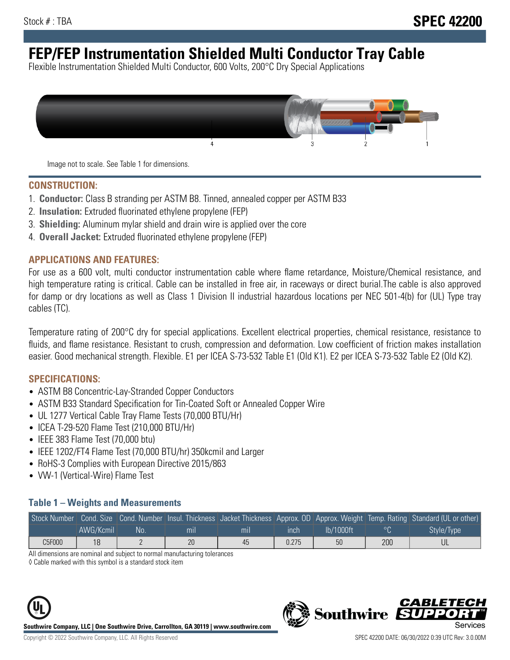# **FEP/FEP Instrumentation Shielded Multi Conductor Tray Cable**

Flexible Instrumentation Shielded Multi Conductor, 600 Volts, 200°C Dry Special Applications



Image not to scale. See Table 1 for dimensions.

#### **CONSTRUCTION:**

- 1. **Conductor:** Class B stranding per ASTM B8. Tinned, annealed copper per ASTM B33
- 2. **Insulation:** Extruded fluorinated ethylene propylene (FEP)
- 3. **Shielding:** Aluminum mylar shield and drain wire is applied over the core
- 4. **Overall Jacket:** Extruded fluorinated ethylene propylene (FEP)

#### **APPLICATIONS AND FEATURES:**

For use as a 600 volt, multi conductor instrumentation cable where flame retardance, Moisture/Chemical resistance, and high temperature rating is critical. Cable can be installed in free air, in raceways or direct burial.The cable is also approved for damp or dry locations as well as Class 1 Division II industrial hazardous locations per NEC 501-4(b) for (UL) Type tray cables (TC).

Temperature rating of 200°C dry for special applications. Excellent electrical properties, chemical resistance, resistance to fluids, and flame resistance. Resistant to crush, compression and deformation. Low coefficient of friction makes installation easier. Good mechanical strength. Flexible. E1 per ICEA S-73-532 Table E1 (Old K1). E2 per ICEA S-73-532 Table E2 (Old K2).

#### **SPECIFICATIONS:**

- ASTM B8 Concentric-Lay-Stranded Copper Conductors
- ASTM B33 Standard Specification for Tin-Coated Soft or Annealed Copper Wire
- UL 1277 Vertical Cable Tray Flame Tests (70,000 BTU/Hr)
- ICEA T-29-520 Flame Test (210,000 BTU/Hr)
- IEEE 383 Flame Test (70,000 btu)
- IEEE 1202/FT4 Flame Test (70,000 BTU/hr) 350kcmil and Larger
- RoHS-3 Complies with European Directive 2015/863
- VW-1 (Vertical-Wire) Flame Test

#### **Table 1 – Weights and Measurements**

|        |           |    |                |     |             |           |     | Stock Number Cond. Size Cond. Number Insul. Thickness Jacket Thickness Approx. OD Approx. Weight Temp. Rating Standard (UL or other) |
|--------|-----------|----|----------------|-----|-------------|-----------|-----|--------------------------------------------------------------------------------------------------------------------------------------|
|        | AWG/Kcmil | No | m <sub>l</sub> | mil | <b>inch</b> | Ib/1000ft |     | Style/Type                                                                                                                           |
| C5F000 | 18        |    | 20             | 45  | 0.275       | 50        | 200 |                                                                                                                                      |

All dimensions are nominal and subject to normal manufacturing tolerances

◊ Cable marked with this symbol is a standard stock item



**Southwire** 

CARLET